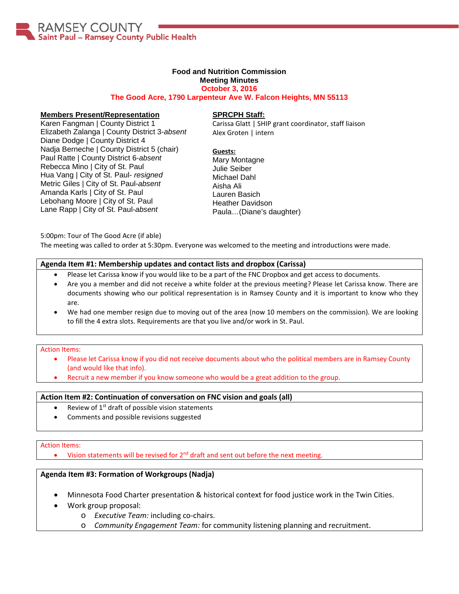

### **Food and Nutrition Commission**

#### **Meeting Minutes October 3, 2016**

**The Good Acre, 1790 Larpenteur Ave W. Falcon Heights, MN 55113**

#### **Members Present/Representation**

Karen Fangman | County District 1 Elizabeth Zalanga | County District 3-*absent* Diane Dodge | County District 4 Nadja Berneche | County District 5 (chair) Paul Ratte | County District 6-*absent* Rebecca Mino | City of St. Paul Hua Vang | City of St. Paul- *resigned* Metric Giles | City of St. Paul-*absent* Amanda Karls | City of St. Paul Lebohang Moore | City of St. Paul Lane Rapp | City of St. Paul-*absent*

### **SPRCPH Staff:**

Carissa Glatt | SHIP grant coordinator, staff liaison Alex Groten | intern

**Guests:** Mary Montagne Julie Seiber Michael Dahl Aisha Ali Lauren Basich Heather Davidson Paula…(Diane's daughter)

5:00pm: Tour of The Good Acre (if able)

The meeting was called to order at 5:30pm. Everyone was welcomed to the meeting and introductions were made.

#### **Agenda Item #1: Membership updates and contact lists and dropbox (Carissa)**

- Please let Carissa know if you would like to be a part of the FNC Dropbox and get access to documents.
- Are you a member and did not receive a white folder at the previous meeting? Please let Carissa know. There are documents showing who our political representation is in Ramsey County and it is important to know who they are.
- We had one member resign due to moving out of the area (now 10 members on the commission). We are looking to fill the 4 extra slots. Requirements are that you live and/or work in St. Paul.

#### Action Items:

- Please let Carissa know if you did not receive documents about who the political members are in Ramsey County (and would like that info).
- Recruit a new member if you know someone who would be a great addition to the group.

### **Action Item #2: Continuation of conversation on FNC vision and goals (all)**

- Review of  $1<sup>st</sup>$  draft of possible vision statements
- Comments and possible revisions suggested

#### Action Items:

• Vision statements will be revised for  $2<sup>nd</sup>$  draft and sent out before the next meeting.

### **Agenda Item #3: Formation of Workgroups (Nadja)**

- Minnesota Food Charter presentation & historical context for food justice work in the Twin Cities.
- Work group proposal:
	- o *Executive Team:* including co-chairs.
		- o *Community Engagement Team:* for community listening planning and recruitment.